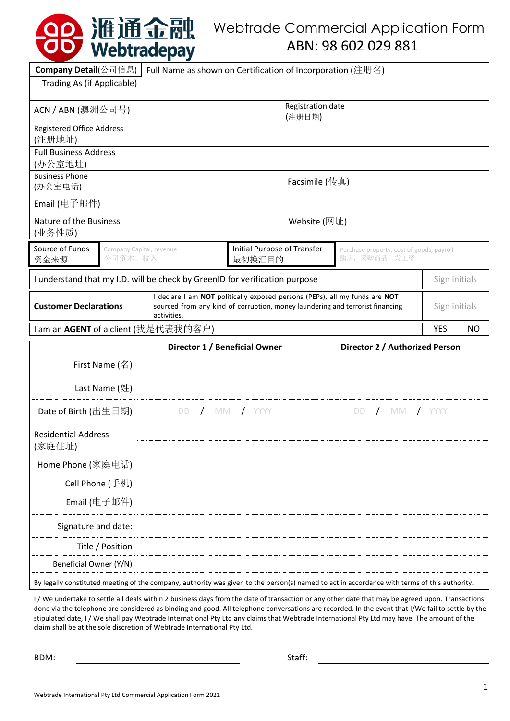|                                                                             |                | 10 准通金融<br>Webtradepay                                     |                                                                                                                                                              |              | <b>Webtrade Commercial Application Form</b><br>ABN: 98 602 029 881                                                                           |                  |
|-----------------------------------------------------------------------------|----------------|------------------------------------------------------------|--------------------------------------------------------------------------------------------------------------------------------------------------------------|--------------|----------------------------------------------------------------------------------------------------------------------------------------------|------------------|
| Company Detail(公司信息)                                                        |                | Full Name as shown on Certification of Incorporation (注册名) |                                                                                                                                                              |              |                                                                                                                                              |                  |
| Trading As (if Applicable)                                                  |                |                                                            |                                                                                                                                                              |              |                                                                                                                                              |                  |
| Registration date<br>ACN / ABN (澳洲公司号)<br>(注册日期)                            |                |                                                            |                                                                                                                                                              |              |                                                                                                                                              |                  |
| <b>Registered Office Address</b><br>(注册地址)                                  |                |                                                            |                                                                                                                                                              |              |                                                                                                                                              |                  |
| <b>Full Business Address</b><br>(办公室地址)                                     |                |                                                            |                                                                                                                                                              |              |                                                                                                                                              |                  |
| <b>Business Phone</b><br>(办公室电话)                                            | Facsimile (传真) |                                                            |                                                                                                                                                              |              |                                                                                                                                              |                  |
| Email (电子邮件)                                                                |                |                                                            |                                                                                                                                                              |              |                                                                                                                                              |                  |
| Nature of the Business<br>(业务性质)                                            |                |                                                            |                                                                                                                                                              | Website (网址) |                                                                                                                                              |                  |
| Source of Funds<br>资金来源                                                     | 公司资本,收入        | Company Capital, revenue                                   | Initial Purpose of Transfer<br>最初换汇目的                                                                                                                        |              | Purchase property, cost of goods, payroll<br>购房,采购商品,发工资                                                                                     |                  |
| I understand that my I.D. will be check by GreenID for verification purpose |                |                                                            |                                                                                                                                                              |              |                                                                                                                                              | Sign initials    |
| <b>Customer Declarations</b><br>activities.                                 |                |                                                            | I declare I am NOT politically exposed persons (PEPs), all my funds are NOT<br>sourced from any kind of corruption, money laundering and terrorist financing |              | Sign initials                                                                                                                                |                  |
|                                                                             |                | I am an AGENT of a client (我是代表我的客户)                       |                                                                                                                                                              |              |                                                                                                                                              | <b>YES</b><br>NO |
|                                                                             |                |                                                            | Director 1 / Beneficial Owner                                                                                                                                |              | Director 2 / Authorized Person                                                                                                               |                  |
|                                                                             | First Name (名) |                                                            |                                                                                                                                                              |              |                                                                                                                                              |                  |
| Last Name $(\n#)$                                                           |                |                                                            |                                                                                                                                                              |              |                                                                                                                                              |                  |
| Date of Birth (出生日期)                                                        |                |                                                            | $/$ MM $/$ YYYY                                                                                                                                              |              | $\sqrt{}$ MM<br>DD                                                                                                                           | <b>I</b> YYYY    |
| <b>Residential Address</b><br>(家庭住址)                                        |                |                                                            |                                                                                                                                                              |              |                                                                                                                                              |                  |
| Home Phone (家庭电话)                                                           |                |                                                            |                                                                                                                                                              |              |                                                                                                                                              |                  |
| Cell Phone (手机)                                                             |                |                                                            |                                                                                                                                                              |              |                                                                                                                                              |                  |
| Email (电子邮件)                                                                |                |                                                            |                                                                                                                                                              |              |                                                                                                                                              |                  |
| Signature and date:                                                         |                |                                                            |                                                                                                                                                              |              |                                                                                                                                              |                  |
| Title / Position                                                            |                |                                                            |                                                                                                                                                              |              |                                                                                                                                              |                  |
| Beneficial Owner (Y/N)                                                      |                |                                                            |                                                                                                                                                              |              |                                                                                                                                              |                  |
|                                                                             |                |                                                            |                                                                                                                                                              |              | By legally constituted meeting of the company, authority was given to the person(s) named to act in accordance with terms of this authority. |                  |

I/We undertake to settle all deals within 2 business days from the date of transaction or any other date that may be agreed upon. Transactions done via the telephone are considered as binding and good. All telephone conversations are recorded. In the event that I/We fail to settle by the stipulated date, I / We shall pay Webtrade International Pty Ltd any claims that Webtrade International Pty Ltd may have. The amount of the claim shall be at the sole discretion of Webtrade International Pty Ltd.

BDM: Staff: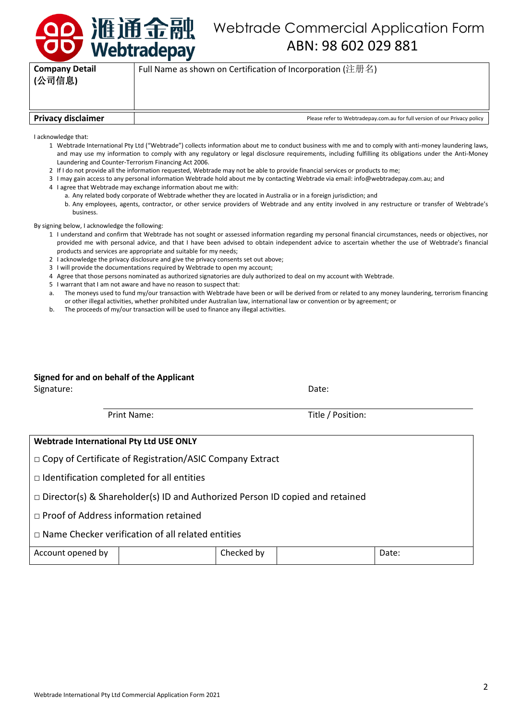

## Webtrade Commercial Application Form ABN: 98 602 029 881

| <b>Company Detail</b><br>(公司信息) | Full Name as shown on Certification of Incorporation (注册名)                |
|---------------------------------|---------------------------------------------------------------------------|
| <b>Privacy disclaimer</b>       | Please refer to Webtradepay.com.au for full version of our Privacy policy |

I acknowledge that:

- 1 Webtrade International Pty Ltd ("Webtrade") collects information about me to conduct business with me and to comply with anti-money laundering laws, and may use my information to comply with any regulatory or legal disclosure requirements, including fulfilling its obligations under the Anti-Money Laundering and Counter-Terrorism Financing Act 2006.
- 2 If I do not provide all the information requested, Webtrade may not be able to provide financial services or products to me;
- 3 I may gain access to any personal information Webtrade hold about me by contacting Webtrade via email: info@webtradepay.com.au; and
- 4 I agree that Webtrade may exchange information about me with:
	- a. Any related body corporate of Webtrade whether they are located in Australia or in a foreign jurisdiction; and
	- b. Any employees, agents, contractor, or other service providers of Webtrade and any entity involved in any restructure or transfer of Webtrade's business.

By signing below, I acknowledge the following:

- 1 I understand and confirm that Webtrade has not sought or assessed information regarding my personal financial circumstances, needs or objectives, nor provided me with personal advice, and that I have been advised to obtain independent advice to ascertain whether the use of Webtrade's financial products and services are appropriate and suitable for my needs;
- 2 I acknowledge the privacy disclosure and give the privacy consents set out above;
- 3 I will provide the documentations required by Webtrade to open my account;
- 4 Agree that those persons nominated as authorized signatories are duly authorized to deal on my account with Webtrade.
- 5 I warrant that I am not aware and have no reason to suspect that:
- a. The moneys used to fund my/our transaction with Webtrade have been or will be derived from or related to any money laundering, terrorism financing or other illegal activities, whether prohibited under Australian law, international law or convention or by agreement; or
- b. The proceeds of my/our transaction will be used to finance any illegal activities.

## **Signed for and on behalf of the Applicant**

Signature: Date: Date: Date: Date: Date: Date: Date: Date: Date: Date: Date: Date: Date: Date: Date: Date: Date: Date: Date: Date: Date: Date: Date: Date: Date: Date: Date: Date: Date: Date: Date: Date: Date: Date: Date: D

Print Name: Title / Position:

| Webtrade International Pty Ltd USE ONLY                                             |  |            |  |       |
|-------------------------------------------------------------------------------------|--|------------|--|-------|
| □ Copy of Certificate of Registration/ASIC Company Extract                          |  |            |  |       |
| $\Box$ Identification completed for all entities                                    |  |            |  |       |
| $\Box$ Director(s) & Shareholder(s) ID and Authorized Person ID copied and retained |  |            |  |       |
| $\Box$ Proof of Address information retained                                        |  |            |  |       |
| $\Box$ Name Checker verification of all related entities                            |  |            |  |       |
| Account opened by                                                                   |  | Checked by |  | Date: |